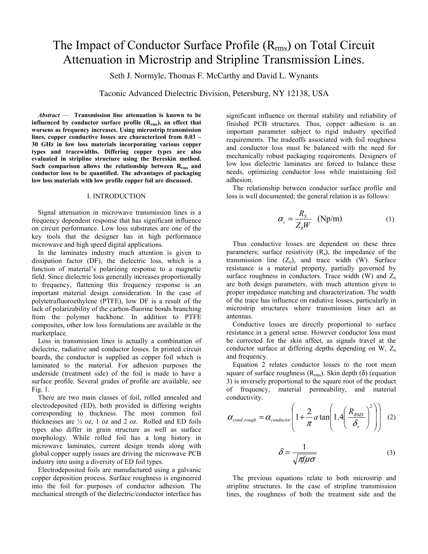# The Impact of Conductor Surface Profile  $(R_{rms})$  on Total Circuit Attenuation in Microstrip and Stripline Transmission Lines.

Seth J. Normyle, Thomas F. McCarthy and David L. Wynants

Taconic Advanced Dielectric Division, Petersburg, NY 12138, USA

*Abstract* — **Transmission line attenuation is known to be**  influenced by conductor surface profile (R<sub>rms</sub>), an effect that **worsens as frequency increases. Using microstrip transmission lines, copper conductive losses are characterized from 0.03 – 30 GHz in low loss materials incorporating various copper types and tracewidths. Differing copper types are also evaluated in stripline structure using the Bereskin method.**  Such comparison allows the relationship between R<sub>rms</sub> and **conductor loss to be quantified. The advantages of packaging low loss materials with low profile copper foil are discussed.**

## I. INTRODUCTION

Signal attenuation in microwave transmission lines is a frequency dependent response that has significant influence on circuit performance. Low loss substrates are one of the key tools that the designer has in high performance microwave and high speed digital applications.

In the laminates industry much attention is given to dissipation factor (DF), the dielectric loss, which is a function of material's polarizing response to a magnetic field. Since dielectric loss generally increases proportionally to frequency, flattening this frequency response is an important material design consideration. In the case of polytetrafluoroethylene (PTFE), low DF is a result of the lack of polarizability of the carbon-fluorine bonds branching from the polymer backbone. In addition to PTFE composites, other low loss formulations are available in the marketplace.

Loss in transmission lines is actually a combination of dielectric, radiative and conductor losses. In printed circuit boards, the conductor is supplied as copper foil which is laminated to the material. For adhesion purposes the underside (treatment side) of the foil is made to have a surface profile. Several grades of profile are available, see Fig. 1.

There are two main classes of foil, rolled annealed and electrodeposited (ED), both provided in differing weights corresponding to thickness. The most common foil thicknesses are  $\frac{1}{2}$  oz, 1 oz and 2 oz. Rolled and ED foils types also differ in grain structure as well as surface morphology. While rolled foil has a long history in microwave laminates, current design trends along with global copper supply issues are driving the microwave PCB industry into using a diversity of ED foil types.

Electrodeposited foils are manufactured using a galvanic copper deposition process. Surface roughness is engineered into the foil for purposes of conductor adhesion. The mechanical strength of the dielectric/conductor interface has significant influence on thermal stability and reliability of finished PCB structures. Thus, copper adhesion is an important parameter subject to rigid industry specified requirements. The tradeoffs associated with foil roughness and conductor loss must be balanced with the need for mechanically robust packaging requirements. Designers of low loss dielectric laminates are forced to balance these needs, optimizing conductor loss while maintaining foil adhesion.

The relationship between conductor surface profile and loss is well documented; the general relation is as follows:

$$
\alpha_c = \frac{R_S}{Z_0 W} \quad (\text{Np/m}) \tag{1}
$$

Thus conductive losses are dependent on these three parameters; surface resistivity  $(R_s)$ , the impedance of the transmission line  $(Z_0)$ , and trace width (W). Surface resistance is a material property, partially governed by surface roughness in conductors. Trace width (W) and  $Z_0$ are both design parameters, with much attention given to proper impedance matching and characterization. The width of the trace has influence on radiative losses, particularly in microstrip structures where transmission lines act as antennas.

Conductive losses are directly proportional to surface resistance in a general sense. However conductor loss must be corrected for the skin affect, as signals travel at the conductor surface at differing depths depending on W,  $Z_0$ and frequency.

Equation 2 relates conductor losses to the root mean square of surface roughness  $(R_{\text{rms}})$ . Skin depth (δ) (equation 3) is inversely proportional to the square root of the product of frequency, material permeability, and material conductivity.

$$
\alpha_{cond, rough} = \alpha_{conductor} \left( 1 + \frac{2}{\pi} a \tan \left( 1.4 \left( \frac{R_{RMS}}{\delta_s} \right)^2 \right) \right) (2)
$$

$$
\delta = \frac{1}{\sqrt{\pi \mu \sigma}}
$$
 (3)

The previous equations relate to both microstrip and stripline structures. In the case of stripline transmission lines, the roughness of both the treatment side and the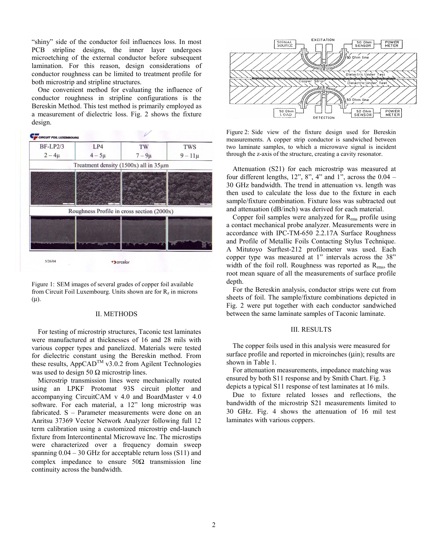"shiny" side of the conductor foil influences loss. In most PCB stripline designs, the inner layer undergoes microetching of the external conductor before subsequent lamination. For this reason, design considerations of conductor roughness can be limited to treatment profile for both microstrip and stripline structures.

One convenient method for evaluating the influence of conductor roughness in stripline configurations is the Bereskin Method. This test method is primarily employed as a measurement of dielectric loss. Fig. 2 shows the fixture design.



Figure 1: SEM images of several grades of copper foil available from Circuit Foil Luxembourg. Units shown are for  $R<sub>z</sub>$  in microns  $(\mu)$ .

### II. METHODS

For testing of microstrip structures, Taconic test laminates were manufactured at thicknesses of 16 and 28 mils with various copper types and panelized. Materials were tested for dielectric constant using the Bereskin method. From these results, AppCAD<sup>TM</sup> v3.0.2 from Agilent Technologies was used to design 50  $\Omega$  microstrip lines.

Microstrip transmission lines were mechanically routed using an LPKF Protomat 93S circuit plotter and accompanying CircuitCAM v 4.0 and BoardMaster v 4.0 software. For each material, a 12" long microstrip was fabricated. S – Parameter measurements were done on an Anritsu 37369 Vector Network Analyzer following full 12 term calibration using a customized microstrip end-launch fixture from Intercontinental Microwave Inc. The microstips were characterized over a frequency domain sweep spanning 0.04 – 30 GHz for acceptable return loss (S11) and complex impedance to ensure  $50\Omega$  transmission line continuity across the bandwidth.



Figure 2: Side view of the fixture design used for Bereskin measurements. A copper strip conductor is sandwiched between two laminate samples, to which a microwave signal is incident through the z-axis of the structure, creating a cavity resonator.

Attenuation (S21) for each microstrip was measured at four different lengths,  $12$ ",  $8$ ",  $4$ " and  $1$ ", across the  $0.04$  – 30 GHz bandwidth. The trend in attenuation vs. length was then used to calculate the loss due to the fixture in each sample/fixture combination. Fixture loss was subtracted out and attenuation (dB/inch) was derived for each material.

Copper foil samples were analyzed for  $R_{rms}$  profile using a contact mechanical probe analyzer. Measurements were in accordance with IPC-TM-650 2.2.17A Surface Roughness and Profile of Metallic Foils Contacting Stylus Technique. A Mitutoyo Surftest-212 profilometer was used. Each copper type was measured at 1" intervals across the 38" width of the foil roll. Roughness was reported as  $R_{rms}$ , the root mean square of all the measurements of surface profile depth.

For the Bereskin analysis, conductor strips were cut from sheets of foil. The sample/fixture combinations depicted in Fig. 2 were put together with each conductor sandwiched between the same laminate samples of Taconic laminate.

#### III. RESULTS

The copper foils used in this analysis were measured for surface profile and reported in microinches  $(\mu$ in); results are shown in Table 1.

For attenuation measurements, impedance matching was ensured by both S11 response and by Smith Chart. Fig. 3 depicts a typical S11 response of test laminates at 16 mils.

Due to fixture related losses and reflections, the bandwidth of the microstrip S21 measurements limited to 30 GHz. Fig. 4 shows the attenuation of 16 mil test laminates with various coppers.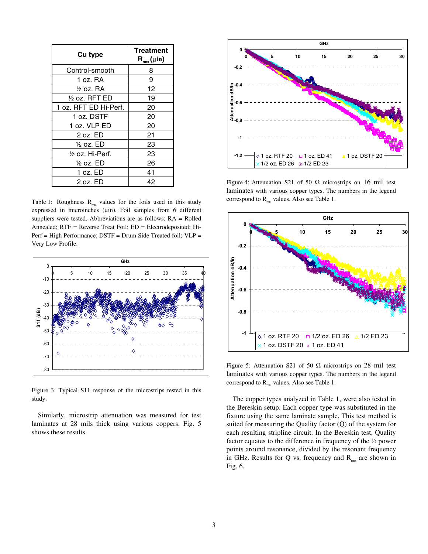| Cu type                  | <b>Treatment</b><br>$R_{rms}(\mu in)$ |
|--------------------------|---------------------------------------|
| Control-smooth           | 8                                     |
| 1 oz. RA                 | 9                                     |
| $\frac{1}{2}$ oz. RA     | 12                                    |
| $\frac{1}{2}$ oz. RFT ED | 19                                    |
| 1 oz. RFT ED Hi-Perf.    | 20                                    |
| 1 oz. DSTF               | 20                                    |
| 1 oz. VLP ED             | 20                                    |
| 2 oz. ED                 | 21                                    |
| ½ oz. ED                 | 23                                    |
| 1/2 oz. Hi-Perf.         | 23                                    |
| ½ oz. ED                 | 26                                    |
| 1 oz. ED                 | 41                                    |
| 2 oz. ED                 | 42                                    |

Table 1: Roughness  $R_{ms}$  values for the foils used in this study expressed in microinches (µin). Foil samples from 6 different suppliers were tested. Abbreviations are as follows: RA = Rolled Annealed; RTF = Reverse Treat Foil; ED = Electrodeposited; Hi-Perf = High Performance; DSTF = Drum Side Treated foil; VLP = Very Low Profile.



Figure 3: Typical S11 response of the microstrips tested in this study.

Similarly, microstrip attenuation was measured for test laminates at 28 mils thick using various coppers. Fig. 5 shows these results.



Figure 4: Attenuation S21 of 50  $\Omega$  microstrips on 16 mil test laminates with various copper types. The numbers in the legend correspond to  $R_{rms}$  values. Also see Table 1.



Figure 5: Attenuation S21 of 50  $\Omega$  microstrips on 28 mil test laminates with various copper types. The numbers in the legend correspond to  $R_{rms}$  values. Also see Table 1.

The copper types analyzed in Table 1, were also tested in the Bereskin setup. Each copper type was substituted in the fixture using the same laminate sample. This test method is suited for measuring the Quality factor (Q) of the system for each resulting stripline circuit. In the Bereskin test, Quality factor equates to the difference in frequency of the ½ power points around resonance, divided by the resonant frequency in GHz. Results for Q vs. frequency and  $R_{\text{rms}}$  are shown in Fig. 6.